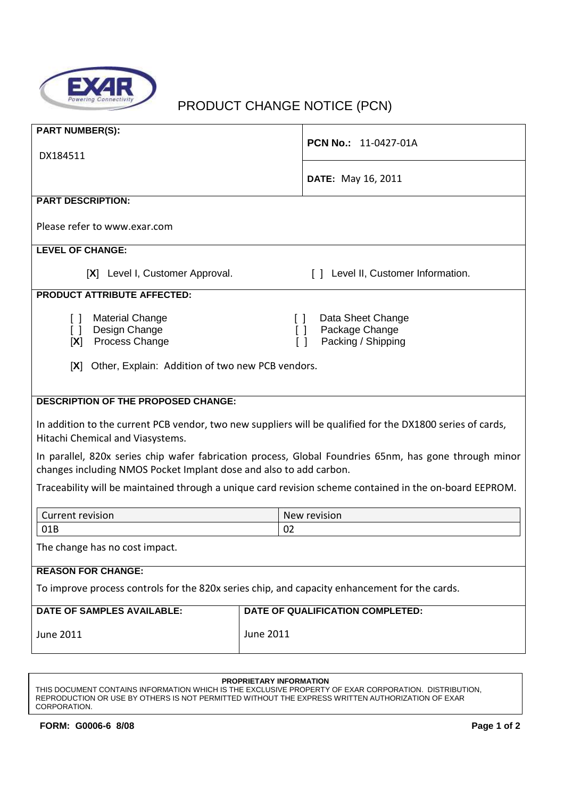

## PRODUCT CHANGE NOTICE (PCN)

| <b>PART NUMBER(S):</b><br>DX184511                                                                                                                                                                                                      | <b>PCN No.: 11-0427-01A</b>             |  |  |
|-----------------------------------------------------------------------------------------------------------------------------------------------------------------------------------------------------------------------------------------|-----------------------------------------|--|--|
|                                                                                                                                                                                                                                         | <b>DATE:</b> May 16, 2011               |  |  |
| <b>PART DESCRIPTION:</b>                                                                                                                                                                                                                |                                         |  |  |
| Please refer to www.exar.com                                                                                                                                                                                                            |                                         |  |  |
| <b>LEVEL OF CHANGE:</b>                                                                                                                                                                                                                 |                                         |  |  |
| [X] Level I, Customer Approval.                                                                                                                                                                                                         | [ ] Level II, Customer Information.     |  |  |
| <b>PRODUCT ATTRIBUTE AFFECTED:</b>                                                                                                                                                                                                      |                                         |  |  |
| <b>Material Change</b><br>Data Sheet Change<br>$\Box$<br>$\Box$<br>Design Change<br>Package Change<br>$\Box$<br>$\Box$<br>Process Change<br>Packing / Shipping<br>[X]<br>$\Box$<br>[X] Other, Explain: Addition of two new PCB vendors. |                                         |  |  |
| <b>DESCRIPTION OF THE PROPOSED CHANGE:</b>                                                                                                                                                                                              |                                         |  |  |
| In addition to the current PCB vendor, two new suppliers will be qualified for the DX1800 series of cards,<br>Hitachi Chemical and Viasystems.                                                                                          |                                         |  |  |
| In parallel, 820x series chip wafer fabrication process, Global Foundries 65nm, has gone through minor<br>changes including NMOS Pocket Implant dose and also to add carbon.                                                            |                                         |  |  |
| Traceability will be maintained through a unique card revision scheme contained in the on-board EEPROM.                                                                                                                                 |                                         |  |  |
| <b>Current revision</b>                                                                                                                                                                                                                 | New revision                            |  |  |
| 01B                                                                                                                                                                                                                                     | 02                                      |  |  |
| The change has no cost impact.                                                                                                                                                                                                          |                                         |  |  |
| <b>REASON FOR CHANGE:</b>                                                                                                                                                                                                               |                                         |  |  |
| To improve process controls for the 820x series chip, and capacity enhancement for the cards.                                                                                                                                           |                                         |  |  |
| <b>DATE OF SAMPLES AVAILABLE:</b>                                                                                                                                                                                                       | <b>DATE OF QUALIFICATION COMPLETED:</b> |  |  |
| <b>June 2011</b>                                                                                                                                                                                                                        | <b>June 2011</b>                        |  |  |

## **PROPRIETARY INFORMATION**

THIS DOCUMENT CONTAINS INFORMATION WHICH IS THE EXCLUSIVE PROPERTY OF EXAR CORPORATION. DISTRIBUTION, REPRODUCTION OR USE BY OTHERS IS NOT PERMITTED WITHOUT THE EXPRESS WRITTEN AUTHORIZATION OF EXAR CORPORATION.